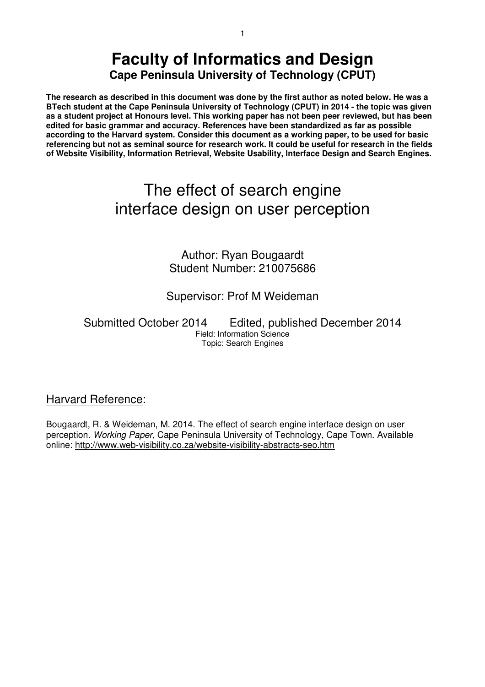# **Faculty of Informatics and Design Cape Peninsula University of Technology (CPUT)**

**The research as described in this document was done by the first author as noted below. He was a BTech student at the Cape Peninsula University of Technology (CPUT) in 2014 - the topic was given as a student project at Honours level. This working paper has not been peer reviewed, but has been edited for basic grammar and accuracy. References have been standardized as far as possible according to the Harvard system. Consider this document as a working paper, to be used for basic referencing but not as seminal source for research work. It could be useful for research in the fields of Website Visibility, Information Retrieval, Website Usability, Interface Design and Search Engines.** 

# The effect of search engine interface design on user perception

# Author: Ryan Bougaardt Student Number: 210075686

# Supervisor: Prof M Weideman

Submitted October 2014 Edited, published December 2014 Field: Information Science Topic: Search Engines

# Harvard Reference:

Bougaardt, R. & Weideman, M. 2014. The effect of search engine interface design on user perception. Working Paper, Cape Peninsula University of Technology, Cape Town. Available online: http://www.web-visibility.co.za/website-visibility-abstracts-seo.htm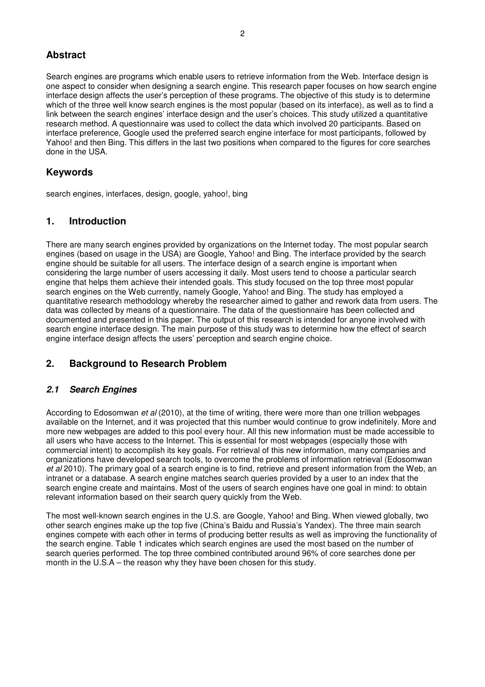# **Abstract**

Search engines are programs which enable users to retrieve information from the Web. Interface design is one aspect to consider when designing a search engine. This research paper focuses on how search engine interface design affects the user's perception of these programs. The objective of this study is to determine which of the three well know search engines is the most popular (based on its interface), as well as to find a link between the search engines' interface design and the user's choices. This study utilized a quantitative research method. A questionnaire was used to collect the data which involved 20 participants. Based on interface preference, Google used the preferred search engine interface for most participants, followed by Yahoo! and then Bing. This differs in the last two positions when compared to the figures for core searches done in the USA.

# **Keywords**

search engines, interfaces, design, google, yahoo!, bing

#### **1. Introduction**

There are many search engines provided by organizations on the Internet today. The most popular search engines (based on usage in the USA) are Google, Yahoo! and Bing. The interface provided by the search engine should be suitable for all users. The interface design of a search engine is important when considering the large number of users accessing it daily. Most users tend to choose a particular search engine that helps them achieve their intended goals. This study focused on the top three most popular search engines on the Web currently, namely Google, Yahoo! and Bing. The study has employed a quantitative research methodology whereby the researcher aimed to gather and rework data from users. The data was collected by means of a questionnaire. The data of the questionnaire has been collected and documented and presented in this paper. The output of this research is intended for anyone involved with search engine interface design. The main purpose of this study was to determine how the effect of search engine interface design affects the users' perception and search engine choice.

# **2. Background to Research Problem**

#### **2.1 Search Engines**

According to Edosomwan et al (2010), at the time of writing, there were more than one trillion webpages available on the Internet, and it was projected that this number would continue to grow indefinitely. More and more new webpages are added to this pool every hour. All this new information must be made accessible to all users who have access to the Internet. This is essential for most webpages (especially those with commercial intent) to accomplish its key goals. For retrieval of this new information, many companies and organizations have developed search tools, to overcome the problems of information retrieval (Edosomwan et al 2010). The primary goal of a search engine is to find, retrieve and present information from the Web, an intranet or a database. A search engine matches search queries provided by a user to an index that the search engine create and maintains. Most of the users of search engines have one goal in mind: to obtain relevant information based on their search query quickly from the Web.

The most well-known search engines in the U.S. are Google, Yahoo! and Bing. When viewed globally, two other search engines make up the top five (China's Baidu and Russia's Yandex). The three main search engines compete with each other in terms of producing better results as well as improving the functionality of the search engine. Table 1 indicates which search engines are used the most based on the number of search queries performed. The top three combined contributed around 96% of core searches done per month in the U.S.A – the reason why they have been chosen for this study.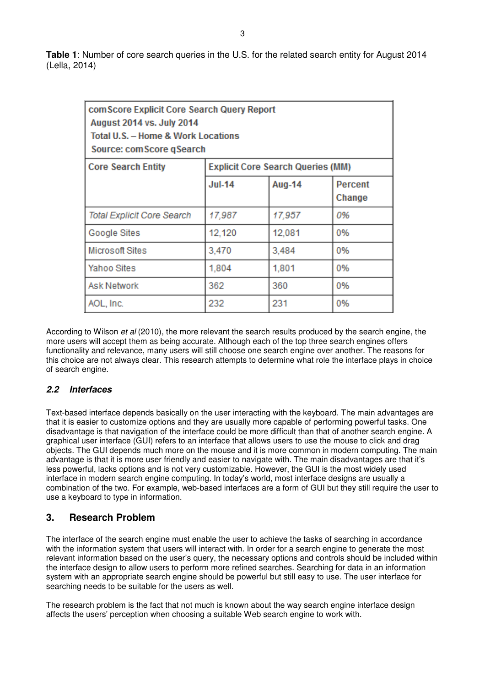**Table 1**: Number of core search queries in the U.S. for the related search entity for August 2014 (Lella, 2014)

| com Score Explicit Core Search Query Report<br><b>August 2014 vs. July 2014</b><br>Total U.S. - Home & Work Locations<br>Source: com Score gSearch |                                          |               |                          |
|----------------------------------------------------------------------------------------------------------------------------------------------------|------------------------------------------|---------------|--------------------------|
| <b>Core Search Entity</b>                                                                                                                          | <b>Explicit Core Search Queries (MM)</b> |               |                          |
|                                                                                                                                                    | <b>Jul-14</b>                            | <b>Aug-14</b> | <b>Percent</b><br>Change |
| <b>Total Explicit Core Search</b>                                                                                                                  | 17,987                                   | 17,957        | 0%                       |
| Google Sites                                                                                                                                       | 12,120                                   | 12,081        | 0%                       |
| <b>Microsoft Sites</b>                                                                                                                             | 3,470                                    | 3,484         | 0%                       |
| Yahoo Sites                                                                                                                                        | 1,804                                    | 1,801         | 0%                       |
| Ask Network                                                                                                                                        | 362                                      | 360           | 0%                       |
| AOL, Inc.                                                                                                                                          | 232                                      | 231           | 0%                       |

According to Wilson et al (2010), the more relevant the search results produced by the search engine, the more users will accept them as being accurate. Although each of the top three search engines offers functionality and relevance, many users will still choose one search engine over another. The reasons for this choice are not always clear. This research attempts to determine what role the interface plays in choice of search engine.

#### **2.2 Interfaces**

Text-based interface depends basically on the user interacting with the keyboard. The main advantages are that it is easier to customize options and they are usually more capable of performing powerful tasks. One disadvantage is that navigation of the interface could be more difficult than that of another search engine. A graphical user interface (GUI) refers to an interface that allows users to use the mouse to click and drag objects. The GUI depends much more on the mouse and it is more common in modern computing. The main advantage is that it is more user friendly and easier to navigate with. The main disadvantages are that it's less powerful, lacks options and is not very customizable. However, the GUI is the most widely used interface in modern search engine computing. In today's world, most interface designs are usually a combination of the two. For example, web-based interfaces are a form of GUI but they still require the user to use a keyboard to type in information.

# **3. Research Problem**

The interface of the search engine must enable the user to achieve the tasks of searching in accordance with the information system that users will interact with. In order for a search engine to generate the most relevant information based on the user's query, the necessary options and controls should be included within the interface design to allow users to perform more refined searches. Searching for data in an information system with an appropriate search engine should be powerful but still easy to use. The user interface for searching needs to be suitable for the users as well.

The research problem is the fact that not much is known about the way search engine interface design affects the users' perception when choosing a suitable Web search engine to work with.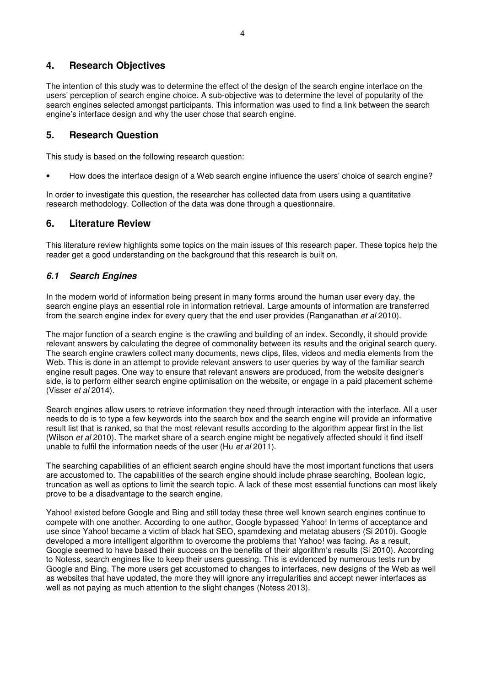## **4. Research Objectives**

The intention of this study was to determine the effect of the design of the search engine interface on the users' perception of search engine choice. A sub-objective was to determine the level of popularity of the search engines selected amongst participants. This information was used to find a link between the search engine's interface design and why the user chose that search engine.

# **5. Research Question**

This study is based on the following research question:

• How does the interface design of a Web search engine influence the users' choice of search engine?

In order to investigate this question, the researcher has collected data from users using a quantitative research methodology. Collection of the data was done through a questionnaire.

#### **6. Literature Review**

This literature review highlights some topics on the main issues of this research paper. These topics help the reader get a good understanding on the background that this research is built on.

#### **6.1 Search Engines**

In the modern world of information being present in many forms around the human user every day, the search engine plays an essential role in information retrieval. Large amounts of information are transferred from the search engine index for every query that the end user provides (Ranganathan et al 2010).

The major function of a search engine is the crawling and building of an index. Secondly, it should provide relevant answers by calculating the degree of commonality between its results and the original search query. The search engine crawlers collect many documents, news clips, files, videos and media elements from the Web. This is done in an attempt to provide relevant answers to user queries by way of the familiar search engine result pages. One way to ensure that relevant answers are produced, from the website designer's side, is to perform either search engine optimisation on the website, or engage in a paid placement scheme (Visser et al 2014).

Search engines allow users to retrieve information they need through interaction with the interface. All a user needs to do is to type a few keywords into the search box and the search engine will provide an informative result list that is ranked, so that the most relevant results according to the algorithm appear first in the list (Wilson et al 2010). The market share of a search engine might be negatively affected should it find itself unable to fulfil the information needs of the user (Hu et al 2011).

The searching capabilities of an efficient search engine should have the most important functions that users are accustomed to. The capabilities of the search engine should include phrase searching, Boolean logic, truncation as well as options to limit the search topic. A lack of these most essential functions can most likely prove to be a disadvantage to the search engine.

Yahoo! existed before Google and Bing and still today these three well known search engines continue to compete with one another. According to one author, Google bypassed Yahoo! In terms of acceptance and use since Yahoo! became a victim of black hat SEO, spamdexing and metatag abusers (Si 2010). Google developed a more intelligent algorithm to overcome the problems that Yahoo! was facing. As a result, Google seemed to have based their success on the benefits of their algorithm's results (Si 2010). According to Notess, search engines like to keep their users guessing. This is evidenced by numerous tests run by Google and Bing. The more users get accustomed to changes to interfaces, new designs of the Web as well as websites that have updated, the more they will ignore any irregularities and accept newer interfaces as well as not paying as much attention to the slight changes (Notess 2013).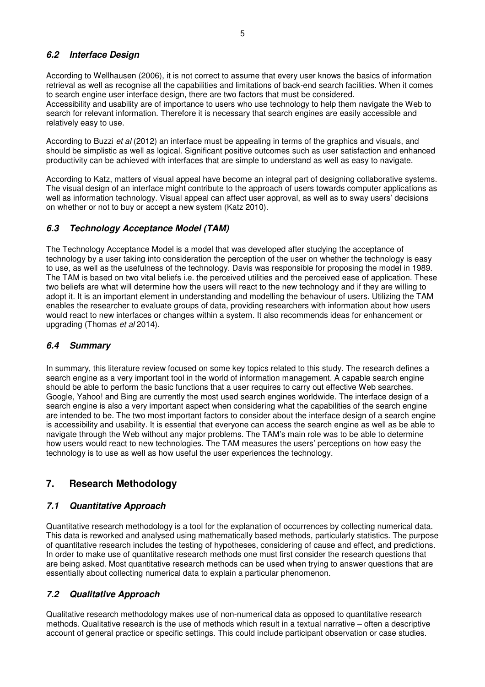## **6.2 Interface Design**

According to Wellhausen (2006), it is not correct to assume that every user knows the basics of information retrieval as well as recognise all the capabilities and limitations of back-end search facilities. When it comes to search engine user interface design, there are two factors that must be considered. Accessibility and usability are of importance to users who use technology to help them navigate the Web to

search for relevant information. Therefore it is necessary that search engines are easily accessible and relatively easy to use.

According to Buzzi et al (2012) an interface must be appealing in terms of the graphics and visuals, and should be simplistic as well as logical. Significant positive outcomes such as user satisfaction and enhanced productivity can be achieved with interfaces that are simple to understand as well as easy to navigate.

According to Katz, matters of visual appeal have become an integral part of designing collaborative systems. The visual design of an interface might contribute to the approach of users towards computer applications as well as information technology. Visual appeal can affect user approval, as well as to sway users' decisions on whether or not to buy or accept a new system (Katz 2010).

#### **6.3 Technology Acceptance Model (TAM)**

The Technology Acceptance Model is a model that was developed after studying the acceptance of technology by a user taking into consideration the perception of the user on whether the technology is easy to use, as well as the usefulness of the technology. Davis was responsible for proposing the model in 1989. The TAM is based on two vital beliefs i.e. the perceived utilities and the perceived ease of application. These two beliefs are what will determine how the users will react to the new technology and if they are willing to adopt it. It is an important element in understanding and modelling the behaviour of users. Utilizing the TAM enables the researcher to evaluate groups of data, providing researchers with information about how users would react to new interfaces or changes within a system. It also recommends ideas for enhancement or upgrading (Thomas et al 2014).

#### **6.4 Summary**

In summary, this literature review focused on some key topics related to this study. The research defines a search engine as a very important tool in the world of information management. A capable search engine should be able to perform the basic functions that a user requires to carry out effective Web searches. Google, Yahoo! and Bing are currently the most used search engines worldwide. The interface design of a search engine is also a very important aspect when considering what the capabilities of the search engine are intended to be. The two most important factors to consider about the interface design of a search engine is accessibility and usability. It is essential that everyone can access the search engine as well as be able to navigate through the Web without any major problems. The TAM's main role was to be able to determine how users would react to new technologies. The TAM measures the users' perceptions on how easy the technology is to use as well as how useful the user experiences the technology.

# **7. Research Methodology**

#### **7.1 Quantitative Approach**

Quantitative research methodology is a tool for the explanation of occurrences by collecting numerical data. This data is reworked and analysed using mathematically based methods, particularly statistics. The purpose of quantitative research includes the testing of hypotheses, considering of cause and effect, and predictions. In order to make use of quantitative research methods one must first consider the research questions that are being asked. Most quantitative research methods can be used when trying to answer questions that are essentially about collecting numerical data to explain a particular phenomenon.

#### **7.2 Qualitative Approach**

Qualitative research methodology makes use of non-numerical data as opposed to quantitative research methods. Qualitative research is the use of methods which result in a textual narrative – often a descriptive account of general practice or specific settings. This could include participant observation or case studies.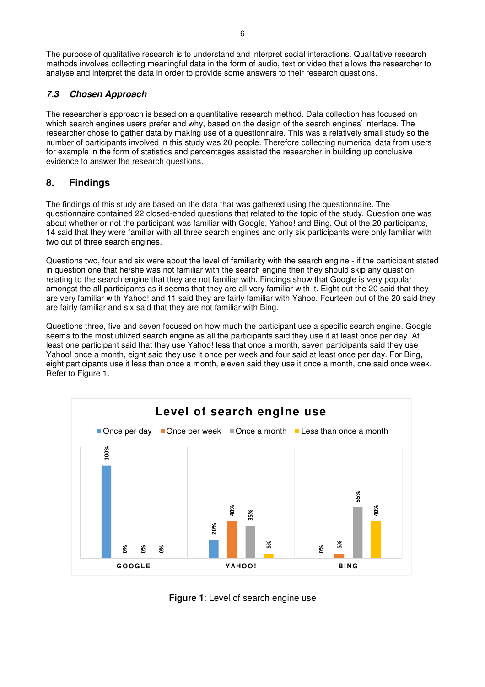The purpose of qualitative research is to understand and interpret social interactions. Qualitative research methods involves collecting meaningful data in the form of audio, text or video that allows the researcher to analyse and interpret the data in order to provide some answers to their research questions.

## **7.3 Chosen Approach**

The researcher's approach is based on a quantitative research method. Data collection has focused on which search engines users prefer and why, based on the design of the search engines' interface. The researcher chose to gather data by making use of a questionnaire. This was a relatively small study so the number of participants involved in this study was 20 people. Therefore collecting numerical data from users for example in the form of statistics and percentages assisted the researcher in building up conclusive evidence to answer the research questions.

# **8. Findings**

The findings of this study are based on the data that was gathered using the questionnaire. The questionnaire contained 22 closed-ended questions that related to the topic of the study. Question one was about whether or not the participant was familiar with Google, Yahoo! and Bing. Out of the 20 participants, 14 said that they were familiar with all three search engines and only six participants were only familiar with two out of three search engines.

Questions two, four and six were about the level of familiarity with the search engine - if the participant stated in question one that he/she was not familiar with the search engine then they should skip any question relating to the search engine that they are not familiar with. Findings show that Google is very popular amongst the all participants as it seems that they are all very familiar with it. Eight out the 20 said that they are very familiar with Yahoo! and 11 said they are fairly familiar with Yahoo. Fourteen out of the 20 said they are fairly familiar and six said that they are not familiar with Bing.

Questions three, five and seven focused on how much the participant use a specific search engine. Google seems to the most utilized search engine as all the participants said they use it at least once per day. At least one participant said that they use Yahoo! less that once a month, seven participants said they use Yahoo! once a month, eight said they use it once per week and four said at least once per day. For Bing, eight participants use it less than once a month, eleven said they use it once a month, one said once week. Refer to Figure 1.



**Figure 1**: Level of search engine use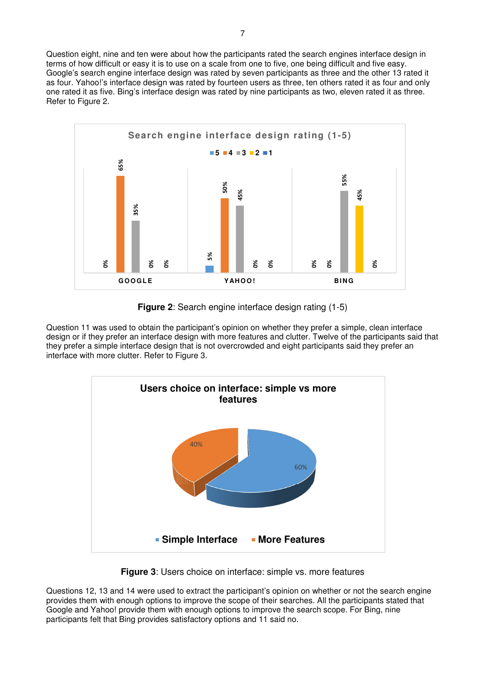Question eight, nine and ten were about how the participants rated the search engines interface design in terms of how difficult or easy it is to use on a scale from one to five, one being difficult and five easy. Google's search engine interface design was rated by seven participants as three and the other 13 rated it as four. Yahoo!'s interface design was rated by fourteen users as three, ten others rated it as four and only one rated it as five. Bing's interface design was rated by nine participants as two, eleven rated it as three. Refer to Figure 2.



**Figure 2**: Search engine interface design rating (1-5)

Question 11 was used to obtain the participant's opinion on whether they prefer a simple, clean interface design or if they prefer an interface design with more features and clutter. Twelve of the participants said that they prefer a simple interface design that is not overcrowded and eight participants said they prefer an interface with more clutter. Refer to Figure 3.



**Figure 3**: Users choice on interface: simple vs. more features

Questions 12, 13 and 14 were used to extract the participant's opinion on whether or not the search engine provides them with enough options to improve the scope of their searches. All the participants stated that Google and Yahoo! provide them with enough options to improve the search scope. For Bing, nine participants felt that Bing provides satisfactory options and 11 said no.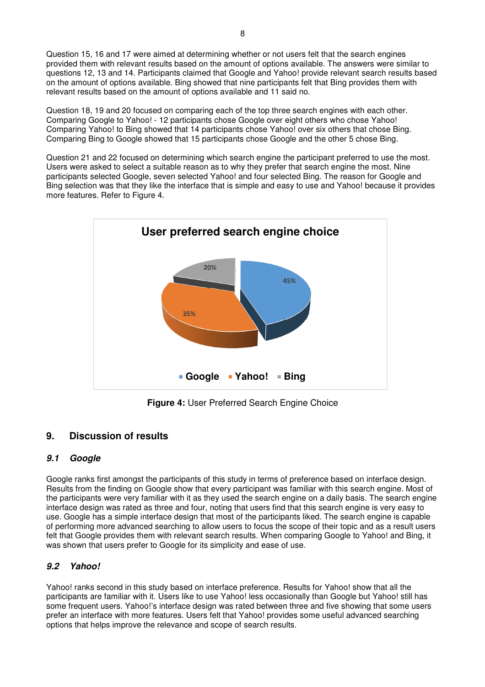Question 15, 16 and 17 were aimed at determining whether or not users felt that the search engines provided them with relevant results based on the amount of options available. The answers were similar to questions 12, 13 and 14. Participants claimed that Google and Yahoo! provide relevant search results based on the amount of options available. Bing showed that nine participants felt that Bing provides them with relevant results based on the amount of options available and 11 said no.

Question 18, 19 and 20 focused on comparing each of the top three search engines with each other. Comparing Google to Yahoo! - 12 participants chose Google over eight others who chose Yahoo! Comparing Yahoo! to Bing showed that 14 participants chose Yahoo! over six others that chose Bing. Comparing Bing to Google showed that 15 participants chose Google and the other 5 chose Bing.

Question 21 and 22 focused on determining which search engine the participant preferred to use the most. Users were asked to select a suitable reason as to why they prefer that search engine the most. Nine participants selected Google, seven selected Yahoo! and four selected Bing. The reason for Google and Bing selection was that they like the interface that is simple and easy to use and Yahoo! because it provides more features. Refer to Figure 4.



**Figure 4:** User Preferred Search Engine Choice

# **9. Discussion of results**

# **9.1 Google**

Google ranks first amongst the participants of this study in terms of preference based on interface design. Results from the finding on Google show that every participant was familiar with this search engine. Most of the participants were very familiar with it as they used the search engine on a daily basis. The search engine interface design was rated as three and four, noting that users find that this search engine is very easy to use. Google has a simple interface design that most of the participants liked. The search engine is capable of performing more advanced searching to allow users to focus the scope of their topic and as a result users felt that Google provides them with relevant search results. When comparing Google to Yahoo! and Bing, it was shown that users prefer to Google for its simplicity and ease of use.

# **9.2 Yahoo!**

Yahoo! ranks second in this study based on interface preference. Results for Yahoo! show that all the participants are familiar with it. Users like to use Yahoo! less occasionally than Google but Yahoo! still has some frequent users. Yahoo!'s interface design was rated between three and five showing that some users prefer an interface with more features. Users felt that Yahoo! provides some useful advanced searching options that helps improve the relevance and scope of search results.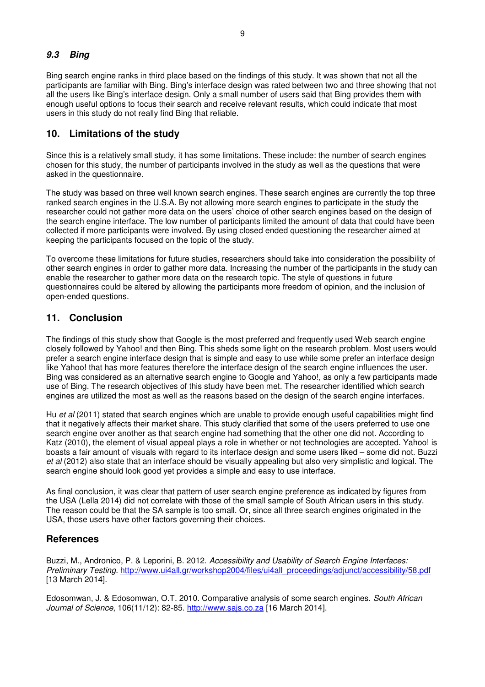#### **9.3 Bing**

Bing search engine ranks in third place based on the findings of this study. It was shown that not all the participants are familiar with Bing. Bing's interface design was rated between two and three showing that not all the users like Bing's interface design. Only a small number of users said that Bing provides them with enough useful options to focus their search and receive relevant results, which could indicate that most users in this study do not really find Bing that reliable.

# **10. Limitations of the study**

Since this is a relatively small study, it has some limitations. These include: the number of search engines chosen for this study, the number of participants involved in the study as well as the questions that were asked in the questionnaire.

The study was based on three well known search engines. These search engines are currently the top three ranked search engines in the U.S.A. By not allowing more search engines to participate in the study the researcher could not gather more data on the users' choice of other search engines based on the design of the search engine interface. The low number of participants limited the amount of data that could have been collected if more participants were involved. By using closed ended questioning the researcher aimed at keeping the participants focused on the topic of the study.

To overcome these limitations for future studies, researchers should take into consideration the possibility of other search engines in order to gather more data. Increasing the number of the participants in the study can enable the researcher to gather more data on the research topic. The style of questions in future questionnaires could be altered by allowing the participants more freedom of opinion, and the inclusion of open-ended questions.

#### **11. Conclusion**

The findings of this study show that Google is the most preferred and frequently used Web search engine closely followed by Yahoo! and then Bing. This sheds some light on the research problem. Most users would prefer a search engine interface design that is simple and easy to use while some prefer an interface design like Yahoo! that has more features therefore the interface design of the search engine influences the user. Bing was considered as an alternative search engine to Google and Yahoo!, as only a few participants made use of Bing. The research objectives of this study have been met. The researcher identified which search engines are utilized the most as well as the reasons based on the design of the search engine interfaces.

Hu et al (2011) stated that search engines which are unable to provide enough useful capabilities might find that it negatively affects their market share. This study clarified that some of the users preferred to use one search engine over another as that search engine had something that the other one did not. According to Katz (2010), the element of visual appeal plays a role in whether or not technologies are accepted. Yahoo! is boasts a fair amount of visuals with regard to its interface design and some users liked – some did not. Buzzi et al (2012) also state that an interface should be visually appealing but also very simplistic and logical. The search engine should look good yet provides a simple and easy to use interface.

As final conclusion, it was clear that pattern of user search engine preference as indicated by figures from the USA (Lella 2014) did not correlate with those of the small sample of South African users in this study. The reason could be that the SA sample is too small. Or, since all three search engines originated in the USA, those users have other factors governing their choices.

# **References**

Buzzi, M., Andronico, P. & Leporini, B. 2012. Accessibility and Usability of Search Engine Interfaces: Preliminary Testing. http://www.ui4all.gr/workshop2004/files/ui4all\_proceedings/adjunct/accessibility/58.pdf [13 March 2014].

Edosomwan, J. & Edosomwan, O.T. 2010. Comparative analysis of some search engines. South African Journal of Science, 106(11/12): 82-85. http://www.sajs.co.za [16 March 2014].